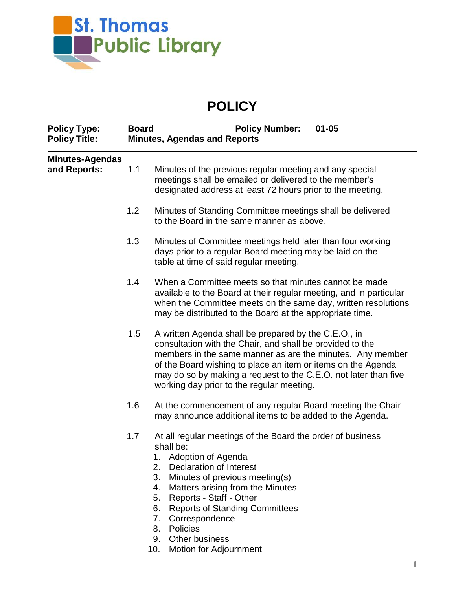

## **POLICY**

| <b>Policy Type:</b><br><b>Policy Title:</b> | <b>Board</b><br><b>Policy Number:</b><br>$01 - 05$<br><b>Minutes, Agendas and Reports</b> |                                                                                                                                                                                                                                                                                                                                                                                                           |
|---------------------------------------------|-------------------------------------------------------------------------------------------|-----------------------------------------------------------------------------------------------------------------------------------------------------------------------------------------------------------------------------------------------------------------------------------------------------------------------------------------------------------------------------------------------------------|
| <b>Minutes-Agendas</b><br>and Reports:      | 1.1                                                                                       | Minutes of the previous regular meeting and any special<br>meetings shall be emailed or delivered to the member's<br>designated address at least 72 hours prior to the meeting.                                                                                                                                                                                                                           |
|                                             | 1.2                                                                                       | Minutes of Standing Committee meetings shall be delivered<br>to the Board in the same manner as above.                                                                                                                                                                                                                                                                                                    |
|                                             | 1.3                                                                                       | Minutes of Committee meetings held later than four working<br>days prior to a regular Board meeting may be laid on the<br>table at time of said regular meeting.                                                                                                                                                                                                                                          |
|                                             | 1.4                                                                                       | When a Committee meets so that minutes cannot be made<br>available to the Board at their regular meeting, and in particular<br>when the Committee meets on the same day, written resolutions<br>may be distributed to the Board at the appropriate time.                                                                                                                                                  |
|                                             | 1.5                                                                                       | A written Agenda shall be prepared by the C.E.O., in<br>consultation with the Chair, and shall be provided to the<br>members in the same manner as are the minutes. Any member<br>of the Board wishing to place an item or items on the Agenda<br>may do so by making a request to the C.E.O. not later than five<br>working day prior to the regular meeting.                                            |
|                                             | 1.6                                                                                       | At the commencement of any regular Board meeting the Chair<br>may announce additional items to be added to the Agenda.                                                                                                                                                                                                                                                                                    |
|                                             | 1.7                                                                                       | At all regular meetings of the Board the order of business<br>shall be:<br>Adoption of Agenda<br>1.<br>2.<br>Declaration of Interest<br>3.<br>Minutes of previous meeting(s)<br>4.<br>Matters arising from the Minutes<br>Reports - Staff - Other<br>5.<br><b>Reports of Standing Committees</b><br>6.<br>7.<br>Correspondence<br>Policies<br>8.<br>Other business<br>9.<br>10.<br>Motion for Adjournment |